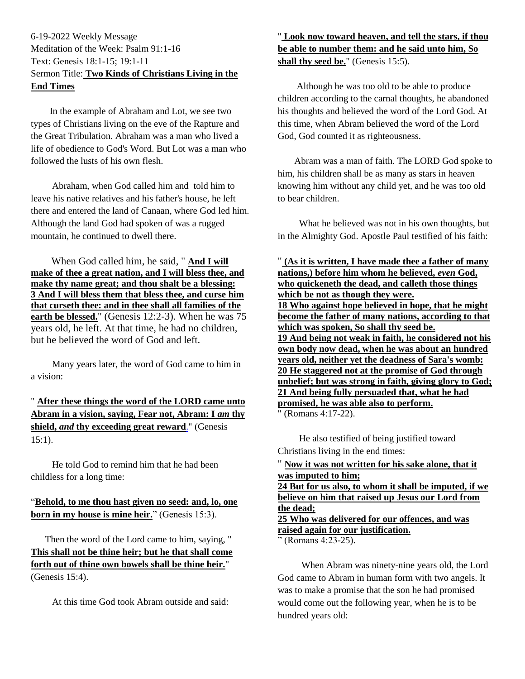## 6-19-2022 Weekly Message Meditation of the Week: Psalm 91:1-16 Text: Genesis 18:1-15; 19:1-11 Sermon Title: **Two Kinds of Christians Living in the End Times**

 In the example of Abraham and Lot, we see two types of Christians living on the eve of the Rapture and the Great Tribulation. Abraham was a man who lived a life of obedience to God's Word. But Lot was a man who followed the lusts of his own flesh.

 Abraham, when God called him and told him to leave his native relatives and his father's house, he left there and entered the land of Canaan, where God led him. Although the land God had spoken of was a rugged mountain, he continued to dwell there.

 When God called him, he said, " **[And I will](https://www.kingjamesbibleonline.org/Genesis-12-2/)  [make of thee a great nation, and I will bless thee, and](https://www.kingjamesbibleonline.org/Genesis-12-2/)  [make thy name great; and thou shalt be a blessing:](https://www.kingjamesbibleonline.org/Genesis-12-2/) [3 And I will bless them that bless thee, and curse him](https://www.kingjamesbibleonline.org/Genesis-12-3/)  [that curseth thee: and in thee shall all families of the](https://www.kingjamesbibleonline.org/Genesis-12-3/)  [earth be blessed.](https://www.kingjamesbibleonline.org/Genesis-12-3/)**" (Genesis 12:2-3). When he was 75 years old, he left. At that time, he had no children, but he believed the word of God and left.

 Many years later, the word of God came to him in a vision:

" **[After these things the word of the LORD came unto](https://www.kingjamesbibleonline.org/Genesis-15-1/)  [Abram in a vision, saying, Fear not, Abram: I](https://www.kingjamesbibleonline.org/Genesis-15-1/)** *am* **thy shield,** *and* **[thy exceeding great reward](https://www.kingjamesbibleonline.org/Genesis-15-1/)**." (Genesis  $15:1$ ).

 He told God to remind him that he had been childless for a long time:

## "**[Behold, to me thou hast given no seed: and, lo, one](https://www.kingjamesbibleonline.org/Genesis-15-3/)  [born in my house is mine heir.](https://www.kingjamesbibleonline.org/Genesis-15-3/)**" (Genesis 15:3).

 Then the word of the Lord came to him, saying, " **[This shall not be thine heir; but he that shall come](https://www.kingjamesbibleonline.org/Genesis-15-4/)  [forth out of thine own bowels shall be thine heir.](https://www.kingjamesbibleonline.org/Genesis-15-4/)**" (Genesis 15:4).

At this time God took Abram outside and said:

# " **[Look now toward heaven, and tell the stars, if thou](https://www.kingjamesbibleonline.org/Genesis-15-5/)  [be able to number them: and he said unto him, So](https://www.kingjamesbibleonline.org/Genesis-15-5/)**  [shall thy seed be.](https://www.kingjamesbibleonline.org/Genesis-15-5/)" (Genesis 15:5).

 Although he was too old to be able to produce children according to the carnal thoughts, he abandoned his thoughts and believed the word of the Lord God. At this time, when Abram believed the word of the Lord God, God counted it as righteousness.

 Abram was a man of faith. The LORD God spoke to him, his children shall be as many as stars in heaven knowing him without any child yet, and he was too old to bear children.

 What he believed was not in his own thoughts, but in the Almighty God. Apostle Paul testified of his faith:

" **[\(As it is written, I have made thee a father of many](https://www.kingjamesbibleonline.org/Romans-4-17/)  [nations,\) before him whom he believed,](https://www.kingjamesbibleonline.org/Romans-4-17/)** *even* **God, [who quickeneth the dead, and calleth those things](https://www.kingjamesbibleonline.org/Romans-4-17/)  [which be not as though they were.](https://www.kingjamesbibleonline.org/Romans-4-17/) [18 Who against hope believed in hope, that he might](https://www.kingjamesbibleonline.org/Romans-4-18/)  [become the father of many nations, according to that](https://www.kingjamesbibleonline.org/Romans-4-18/)  [which was spoken, So shall thy seed be.](https://www.kingjamesbibleonline.org/Romans-4-18/) [19 And being not weak in faith, he considered not his](https://www.kingjamesbibleonline.org/Romans-4-19/)  [own body now dead, when he was about an hundred](https://www.kingjamesbibleonline.org/Romans-4-19/)  [years old, neither yet the deadness of Sara's womb:](https://www.kingjamesbibleonline.org/Romans-4-19/) [20 He staggered not at the promise of God through](https://www.kingjamesbibleonline.org/Romans-4-20/)  [unbelief; but was strong in faith, giving glory to God;](https://www.kingjamesbibleonline.org/Romans-4-20/) [21 And being fully persuaded that, what he had](https://www.kingjamesbibleonline.org/Romans-4-21/)  [promised, he was able also to perform.](https://www.kingjamesbibleonline.org/Romans-4-21/)**

" (Romans 4:17-22).

 He also testified of being justified toward Christians living in the end times:

" **[Now it was not written for his sake alone, that it](https://www.kingjamesbibleonline.org/Romans-4-23/)  [was imputed to him;](https://www.kingjamesbibleonline.org/Romans-4-23/) [24 But for us also, to whom it shall be imputed, if we](https://www.kingjamesbibleonline.org/Romans-4-24/)  [believe on him that raised up Jesus our Lord from](https://www.kingjamesbibleonline.org/Romans-4-24/)  [the dead;](https://www.kingjamesbibleonline.org/Romans-4-24/) [25 Who was delivered for our offences, and was](https://www.kingjamesbibleonline.org/Romans-4-25/)  [raised again for our justification.](https://www.kingjamesbibleonline.org/Romans-4-25/)**  $"$  (Romans 4:23-25).

 When Abram was ninety-nine years old, the Lord God came to Abram in human form with two angels. It was to make a promise that the son he had promised would come out the following year, when he is to be hundred years old: